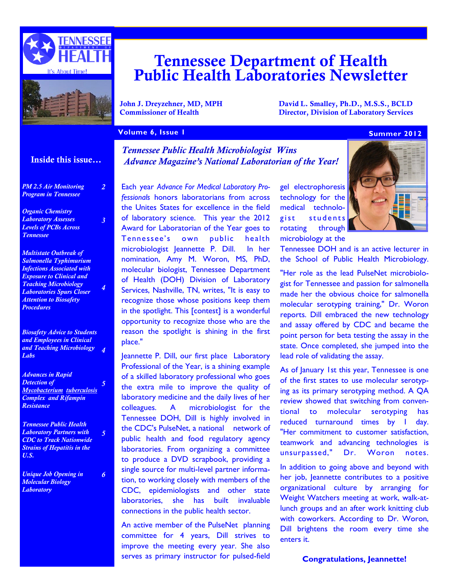



# **Tennessee Department of Health Public Health Laboratories Newsletter**

**John J. Dreyzehner, MD, MPH David L. Smalley, Ph.D., M.S.S., BCLD Commissioner of Health <b>Director, Division of Laboratory Services** 

#### **Volume 6, Issue 1**

#### **Inside this issue...**

*2*

*3*

*4*

*5*

*5*

*6*

*PM 2.5 Air Monitoring Program in Tennessee*

*Organic Chemistry Laboratory Assesses Levels of PCBs Across Tennessee* 

*Multistate Outbreak of Salmonella Typhimurium Infections Associated with Exposure to Clinical and Teaching Microbiology Laboratories Spurs Closer Attention to Biosafety Procedures* 

*Biosafety Advice to Students and Employees in Clinical and Teaching Microbiology Labs 4*

*Advances in Rapid Detection of Mycobacterium tuberculosis Complex and Rifampin Resistance* 

*Tennessee Public Health Laboratory Partners with CDC to Track Nationwide Strains of Hepatitis in the U.S.*

*Unique Job Opening in Molecular Biology Laboratory*

*Tennessee Public Health Microbiologist Wins Advance Magazine's National Laboratorian of the Year!*

Each year *Advance For Medical Laboratory Professionals* honors laboratorians from across the Unites States for excellence in the field of laboratory science. This year the 2012 Award for Laboratorian of the Year goes to Tennessee's own public health microbiologist Jeannette P. Dill. In her nomination, Amy M. Woron, MS, PhD, molecular biologist, Tennessee Department of Health (DOH) Division of Laboratory Services, Nashville, TN, writes, "It is easy to recognize those whose positions keep them in the spotlight. This [contest] is a wonderful opportunity to recognize those who are the reason the spotlight is shining in the first place."

Jeannette P. Dill, our first place Laboratory Professional of the Year, is a shining example of a skilled laboratory professional who goes the extra mile to improve the quality of laboratory medicine and the daily lives of her colleagues. A microbiologist for the Tennessee DOH, Dill is highly involved in the CDC's PulseNet, a national network of public health and food regulatory agency laboratories. From organizing a committee to produce a DVD scrapbook, providing a single source for multi-level partner information, to working closely with members of the CDC, epidemiologists and other state laboratories, she has built invaluable connections in the public health sector.

An active member of the PulseNet planning committee for 4 years, Dill strives to improve the meeting every year. She also serves as primary instructor for pulsed-field

gel electrophoresis technology for the medical technologist students rotating through microbiology at the



Tennessee DOH and is an active lecturer in the School of Public Health Microbiology.

"Her role as the lead PulseNet microbiologist for Tennessee and passion for salmonella made her the obvious choice for salmonella molecular serotyping training," Dr. Woron reports. Dill embraced the new technology and assay offered by CDC and became the point person for beta testing the assay in the state. Once completed, she jumped into the lead role of validating the assay.

As of January 1st this year, Tennessee is one of the first states to use molecular serotyping as its primary serotyping method. A QA review showed that switching from conventional to molecular serotyping has reduced turnaround times by 1 day. "Her commitment to customer satisfaction, teamwork and advancing technologies is unsurpassed," Dr. Woron notes.

In addition to going above and beyond with her job, Jeannette contributes to a positive organizational culture by arranging for Weight Watchers meeting at work, walk-atlunch groups and an after work knitting club with coworkers. According to Dr. Woron, Dill brightens the room every time she enters it.

**Congratulations, Jeannette!**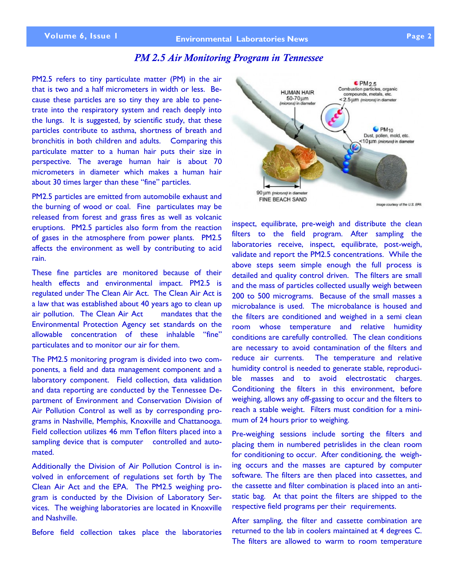### *PM 2.5 Air Monitoring Program in Tennessee*

PM2.5 refers to tiny particulate matter (PM) in the air that is two and a half micrometers in width or less. Because these particles are so tiny they are able to penetrate into the respiratory system and reach deeply into the lungs. It is suggested, by scientific study, that these particles contribute to asthma, shortness of breath and bronchitis in both children and adults. Comparing this particulate matter to a human hair puts their size in perspective. The average human hair is about 70 micrometers in diameter which makes a human hair about 30 times larger than these "fine" particles.

PM2.5 particles are emitted from automobile exhaust and the burning of wood or coal. Fine particulates may be released from forest and grass fires as well as volcanic eruptions. PM2.5 particles also form from the reaction of gases in the atmosphere from power plants. PM2.5 affects the environment as well by contributing to acid rain.

These fine particles are monitored because of their health effects and environmental impact. PM2.5 is regulated under The Clean Air Act. The Clean Air Act is a law that was established about 40 years ago to clean up air pollution. The Clean Air Act mandates that the Environmental Protection Agency set standards on the allowable concentration of these inhalable "fine" particulates and to monitor our air for them.

The PM2.5 monitoring program is divided into two components, a field and data management component and a laboratory component. Field collection, data validation and data reporting are conducted by the Tennessee Department of Environment and Conservation Division of Air Pollution Control as well as by corresponding programs in Nashville, Memphis, Knoxville and Chattanooga. Field collection utilizes 46 mm Teflon filters placed into a sampling device that is computer controlled and automated.

Additionally the Division of Air Pollution Control is involved in enforcement of regulations set forth by The Clean Air Act and the EPA. The PM2.5 weighing program is conducted by the Division of Laboratory Services. The weighing laboratories are located in Knoxville and Nashville.

Before field collection takes place the laboratories



inspect, equilibrate, pre-weigh and distribute the clean filters to the field program. After sampling the laboratories receive, inspect, equilibrate, post-weigh, validate and report the PM2.5 concentrations. While the above steps seem simple enough the full process is detailed and quality control driven. The filters are small and the mass of particles collected usually weigh between 200 to 500 micrograms. Because of the small masses a microbalance is used. The microbalance is housed and the filters are conditioned and weighed in a semi clean room whose temperature and relative humidity conditions are carefully controlled. The clean conditions are necessary to avoid contamination of the filters and reduce air currents. The temperature and relative humidity control is needed to generate stable, reproducible masses and to avoid electrostatic charges. Conditioning the filters in this environment, before weighing, allows any off-gassing to occur and the filters to reach a stable weight. Filters must condition for a minimum of 24 hours prior to weighing.

Pre-weighing sessions include sorting the filters and placing them in numbered petrislides in the clean room for conditioning to occur. After conditioning, the weighing occurs and the masses are captured by computer software. The filters are then placed into cassettes, and the cassette and filter combination is placed into an antistatic bag. At that point the filters are shipped to the respective field programs per their requirements.

After sampling, the filter and cassette combination are returned to the lab in coolers maintained at 4 degrees C. The filters are allowed to warm to room temperature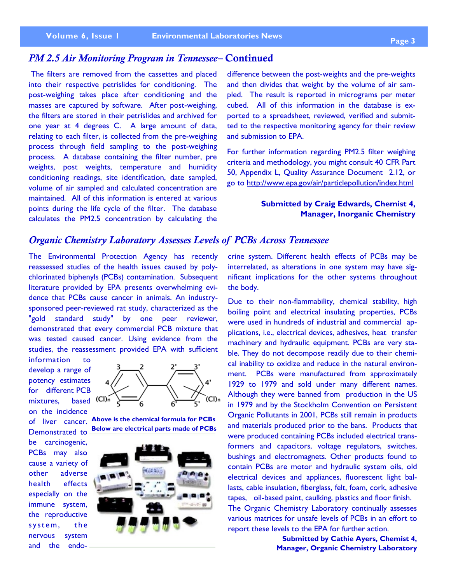#### *PM 2.5 Air Monitoring Program in Tennessee–* **Continued**

The filters are removed from the cassettes and placed into their respective petrislides for conditioning. The post-weighing takes place after conditioning and the masses are captured by software. After post-weighing, the filters are stored in their petrislides and archived for one year at 4 degrees C. A large amount of data, relating to each filter, is collected from the pre-weighing process through field sampling to the post-weighing process. A database containing the filter number, pre weights, post weights, temperature and humidity conditioning readings, site identification, date sampled, volume of air sampled and calculated concentration are maintained. All of this information is entered at various points during the life cycle of the filter. The database calculates the PM2.5 concentration by calculating the difference between the post-weights and the pre-weights and then divides that weight by the volume of air sampled. The result is reported in micrograms per meter cubed. All of this information in the database is exported to a spreadsheet, reviewed, verified and submitted to the respective monitoring agency for their review and submission to EPA.

For further information regarding PM2.5 filter weighing criteria and methodology, you might consult 40 CFR Part 50, Appendix L, Quality Assurance Document 2.12, or go to http://www.epa.gov/air/particlepollution/index.html

### **Submitted by Craig Edwards, Chemist 4, Manager, Inorganic Chemistry**

#### *Organic Chemistry Laboratory Assesses Levels of PCBs Across Tennessee*

The Environmental Protection Agency has recently reassessed studies of the health issues caused by polychlorinated biphenyls (PCBs) contamination. Subsequent literature provided by EPA presents overwhelming evidence that PCBs cause cancer in animals. An industrysponsored peer-reviewed rat study, characterized as the "gold standard study" by one peer reviewer, demonstrated that every commercial PCB mixture that was tested caused cancer. Using evidence from the studies, the reassessment provided EPA with sufficient

information to develop a range of potency estimates for different PCB mixtures, based (CI)n on the incidence Demonstrated to be carcinogenic, PCBs may also cause a variety of other adverse health effects especially on the immune system, the reproductive system, the nervous system and the endo-



of liver cancer. **Above is the chemical formula for PCBs Below are electrical parts made of PCBs**



crine system. Different health effects of PCBs may be interrelated, as alterations in one system may have significant implications for the other systems throughout the body.

Due to their non-flammability, chemical stability, high boiling point and electrical insulating properties, PCBs were used in hundreds of industrial and commercial applications, i.e., electrical devices, adhesives, heat transfer machinery and hydraulic equipment. PCBs are very stable. They do not decompose readily due to their chemical inability to oxidize and reduce in the natural environment. PCBs were manufactured from approximately 1929 to 1979 and sold under many different names. Although they were banned from production in the US in 1979 and by the Stockholm Convention on Persistent Organic Pollutants in 2001, PCBs still remain in products and materials produced prior to the bans. Products that were produced containing PCBs included electrical transformers and capacitors, voltage regulators, switches, bushings and electromagnets. Other products found to contain PCBs are motor and hydraulic system oils, old electrical devices and appliances, fluorescent light ballasts, cable insulation, fiberglass, felt, foam, cork, adhesive tapes, oil-based paint, caulking, plastics and floor finish. The Organic Chemistry Laboratory continually assesses

various matrices for unsafe levels of PCBs in an effort to report these levels to the EPA for further action.

> **Submitted by Cathie Ayers, Chemist 4, Manager, Organic Chemistry Laboratory**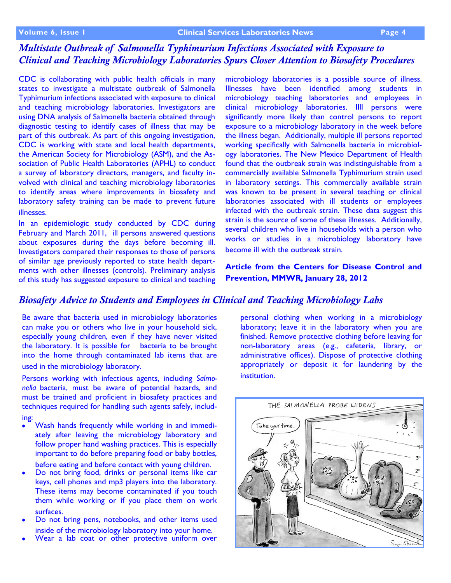# *Multistate Outbreak of Salmonella Typhimurium Infections Associated with Exposure to Clinical and Teaching Microbiology Laboratories Spurs Closer Attention to Biosafety Procedures*

CDC is collaborating with public health officials in many states to investigate a multistate outbreak of Salmonella Typhimurium infections associated with exposure to clinical and teaching microbiology laboratories. Investigators are using DNA analysis of Salmonella bacteria obtained through diagnostic testing to identify cases of illness that may be part of this outbreak. As part of this ongoing investigation, CDC is working with state and local health departments, the [American Society for Microbiology](http://www.asm.org/) (ASM), and the [As](http://www.aphl.org/Pages/default.aspx)[sociation of Public Health Laboratories](http://www.aphl.org/Pages/default.aspx) (APHL) to conduct a survey of laboratory directors, managers, and faculty involved with clinical and teaching microbiology laboratories to identify areas where improvements in biosafety and laboratory safety training can be made to prevent future illnesses.

In an epidemiologic study conducted by CDC during February and March 2011, ill persons answered questions about exposures during the days before becoming ill. Investigators compared their responses to those of persons of similar age previously reported to state health departments with other illnesses (controls). Preliminary analysis of this study has suggested exposure to clinical and teaching microbiology laboratories is a possible source of illness. Illnesses have been identified among students in microbiology teaching laboratories and employees in clinical microbiology laboratories. IIll persons were significantly more likely than control persons to report exposure to a microbiology laboratory in the week before the illness began. Additionally, multiple ill persons reported working specifically with Salmonella bacteria in microbiology laboratories. The New Mexico Department of Health found that the outbreak strain was indistinguishable from a commercially available Salmonella Typhimurium strain used in laboratory settings. This commercially available strain was known to be present in several teaching or clinical laboratories associated with ill students or employees infected with the outbreak strain. These data suggest this strain is the source of some of these illnesses. Additionally, several children who live in households with a person who works or studies in a microbiology laboratory have become ill with the outbreak strain.

## **Article from the Centers for Disease Control and Prevention, MMWR, January 28, 2012**

# *Biosafety Advice to Students and Employees in Clinical and Teaching Microbiology Labs*

Be aware that bacteria used in microbiology laboratories can make you or others who live in your household sick, especially young children, even if they have never visited the laboratory. It is possible for bacteria to be brought into the home through contaminated lab items that are used in the microbiology laboratory.

Persons working with infectious agents, including *Salmonella* bacteria, must be aware of potential hazards, and must be trained and proficient in biosafety practices and techniques required for handling such agents safely, including:

- Wash hands frequently while working in and immediately after leaving the microbiology laboratory and follow proper hand washing practices. This is especially important to do before preparing food or baby bottles,
- before eating and before contact with young children.
- Do not bring food, drinks or personal items like car keys, cell phones and mp3 players into the laboratory. These items may become contaminated if you touch them while working or if you place them on work surfaces.
- Do not bring pens, notebooks, and other items used inside of the microbiology laboratory into your home.
- Wear a lab coat or other protective uniform over

personal clothing when working in a microbiology laboratory; leave it in the laboratory when you are finished. Remove protective clothing before leaving for non-laboratory areas (e.g., cafeteria, library, or administrative offices). Dispose of protective clothing appropriately or deposit it for laundering by the institution.

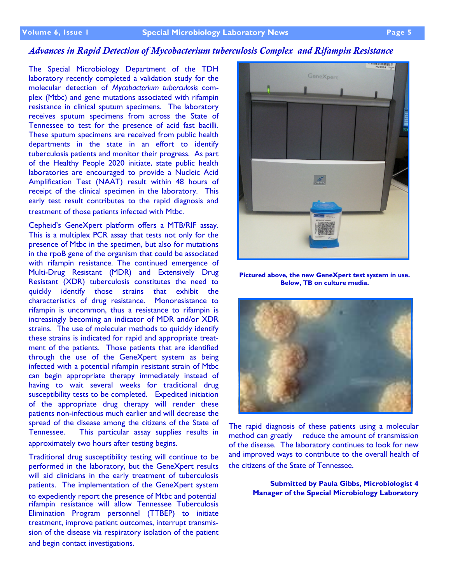The Special Microbiology Department of the TDH laboratory recently completed a validation study for the molecular detection of *Mycobacterium tuberculosis* complex (Mtbc) and gene mutations associated with rifampin resistance in clinical sputum specimens. The laboratory receives sputum specimens from across the State of Tennessee to test for the presence of acid fast bacilli. These sputum specimens are received from public health departments in the state in an effort to identify tuberculosis patients and monitor their progress. As part of the Healthy People 2020 initiate, state public health laboratories are encouraged to provide a Nucleic Acid Amplification Test (NAAT) result within 48 hours of receipt of the clinical specimen in the laboratory. This early test result contributes to the rapid diagnosis and treatment of those patients infected with Mtbc.

Cepheid's GeneXpert platform offers a MTB/RIF assay. This is a multiplex PCR assay that tests not only for the presence of Mtbc in the specimen, but also for mutations in the rpoB gene of the organism that could be associated with rifampin resistance. The continued emergence of Multi-Drug Resistant (MDR) and Extensively Drug Resistant (XDR) tuberculosis constitutes the need to quickly identify those strains that exhibit the characteristics of drug resistance. Monoresistance to rifampin is uncommon, thus a resistance to rifampin is increasingly becoming an indicator of MDR and/or XDR strains. The use of molecular methods to quickly identify these strains is indicated for rapid and appropriate treatment of the patients. Those patients that are identified through the use of the GeneXpert system as being infected with a potential rifampin resistant strain of Mtbc can begin appropriate therapy immediately instead of having to wait several weeks for traditional drug susceptibility tests to be completed. Expedited initiation of the appropriate drug therapy will render these patients non-infectious much earlier and will decrease the spread of the disease among the citizens of the State of Tennessee. This particular assay supplies results in approximately two hours after testing begins.

Traditional drug susceptibility testing will continue to be performed in the laboratory, but the GeneXpert results will aid clinicians in the early treatment of tuberculosis patients. The implementation of the GeneXpert system to expediently report the presence of Mtbc and potential rifampin resistance will allow Tennessee Tuberculosis Elimination Program personnel (TTBEP) to initiate treatment, improve patient outcomes, interrupt transmission of the disease via respiratory isolation of the patient and begin contact investigations.



**Pictured above, the new GeneXpert test system in use. Below, TB on culture media.**



The rapid diagnosis of these patients using a molecular method can greatly reduce the amount of transmission of the disease. The laboratory continues to look for new and improved ways to contribute to the overall health of the citizens of the State of Tennessee.

> **Submitted by Paula Gibbs, Microbiologist 4 Manager of the Special Microbiology Laboratory**